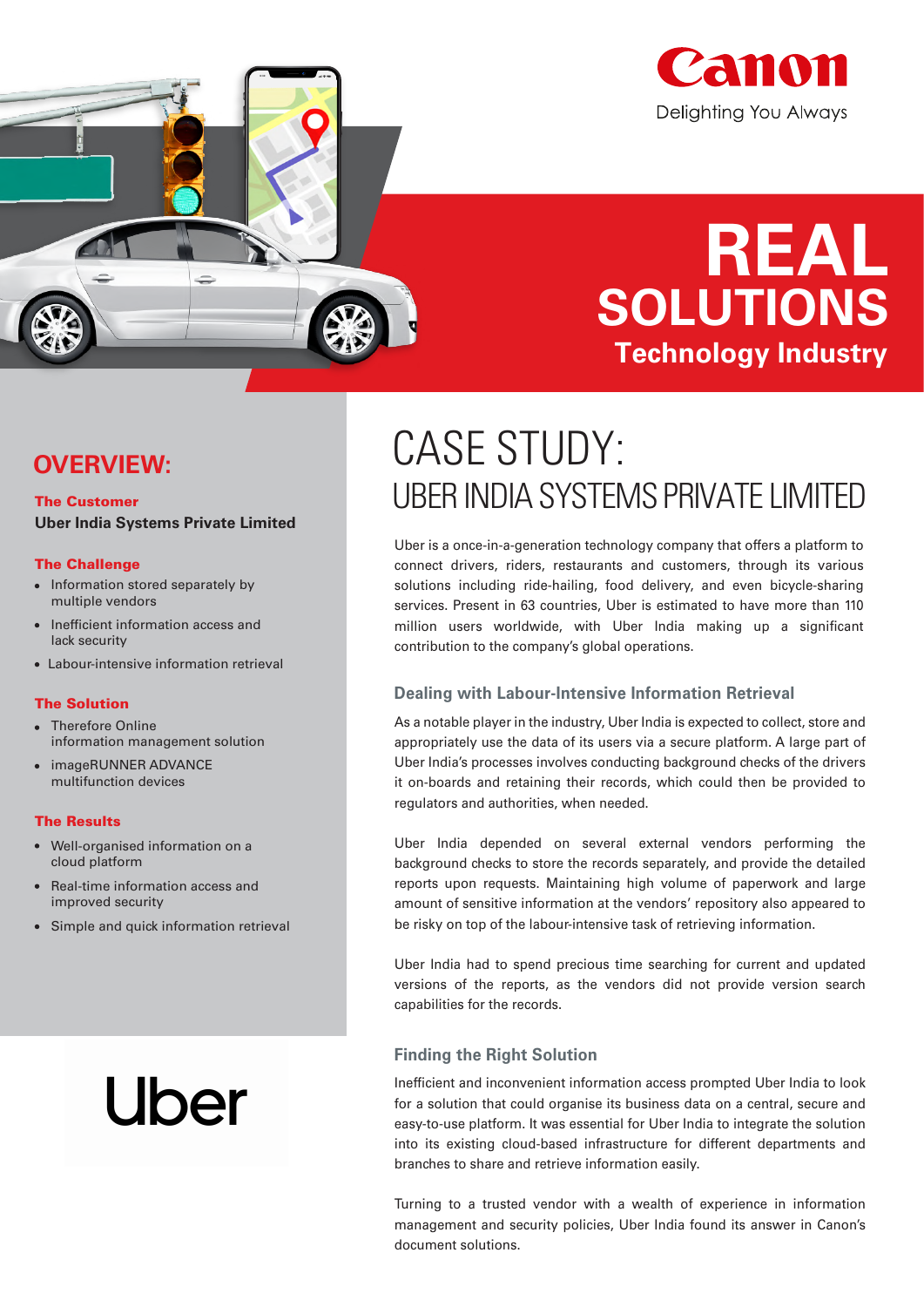

# **REAL SOLUTIONS Technology Industry**

### **OVERVIEW:**

### The Customer **Uber India Systems Private Limited**

### The Challenge

- Information stored separately by multiple vendors
- Inefficient information access and lack security
- Labour-intensive information retrieval

### The Solution

- Therefore Online information management solution
- imageRUNNER ADVANCE multifunction devices

#### The Results

- Well-organised information on a cloud platform
- Real-time information access and improved security
- Simple and quick information retrieval

# Uber

## CASE STUDY: UBER INDIA SYSTEMS PRIVATE LIMITED

Uber is a once-in-a-generation technology company that offers a platform to connect drivers, riders, restaurants and customers, through its various solutions including ride-hailing, food delivery, and even bicycle-sharing services. Present in 63 countries, Uber is estimated to have more than 110 million users worldwide, with Uber India making up a significant contribution to the company's global operations.

### **Dealing with Labour-Intensive Information Retrieval**

As a notable player in the industry, Uber India is expected to collect, store and appropriately use the data of its users via a secure platform. A large part of Uber India's processes involves conducting background checks of the drivers it on-boards and retaining their records, which could then be provided to regulators and authorities, when needed.

Uber India depended on several external vendors performing the background checks to store the records separately, and provide the detailed reports upon requests. Maintaining high volume of paperwork and large amount of sensitive information at the vendors' repository also appeared to be risky on top of the labour-intensive task of retrieving information.

Uber India had to spend precious time searching for current and updated versions of the reports, as the vendors did not provide version search capabilities for the records.

### **Finding the Right Solution**

Inefficient and inconvenient information access prompted Uber India to look for a solution that could organise its business data on a central, secure and easy-to-use platform. It was essential for Uber India to integrate the solution into its existing cloud-based infrastructure for different departments and branches to share and retrieve information easily.

Turning to a trusted vendor with a wealth of experience in information management and security policies, Uber India found its answer in Canon's document solutions.